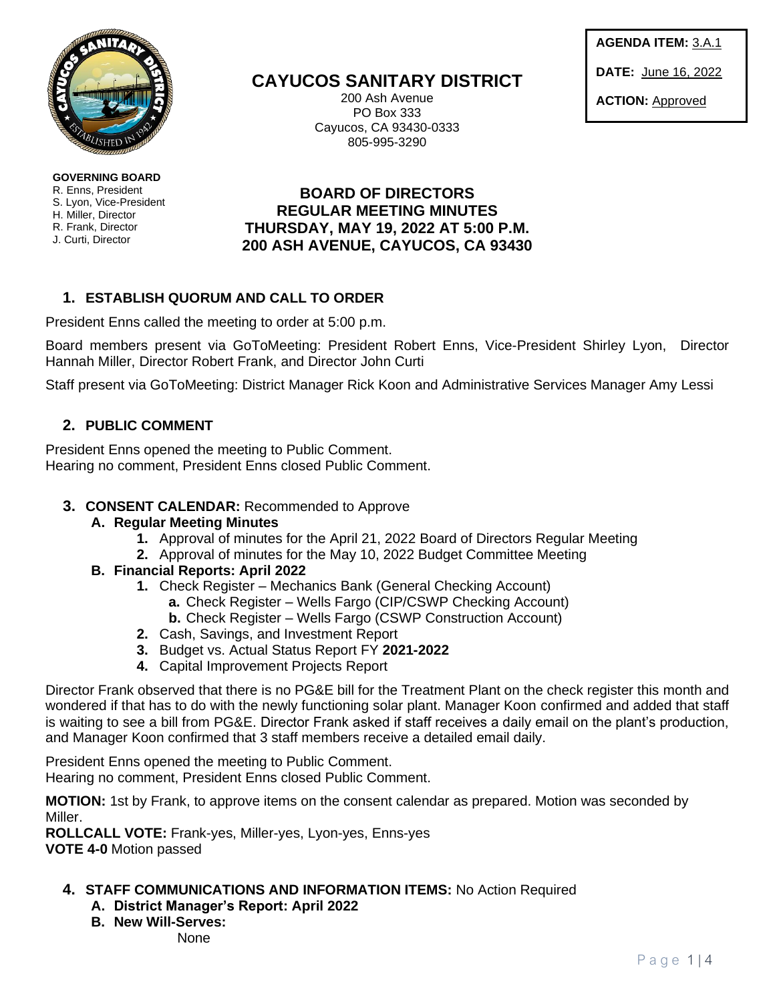

**GOVERNING BOARD**  R. Enns, President S. Lyon, Vice-President H. Miller, Director R. Frank, Director J. Curti, Director

**CAYUCOS SANITARY DISTRICT**

200 Ash Avenue PO Box 333 Cayucos, CA 93430-0333 805-995-3290

**AGENDA ITEM:** 3.A.1 **DATE:** June 16, 2022 **ACTION:** Approved

# **BOARD OF DIRECTORS REGULAR MEETING MINUTES THURSDAY, MAY 19, 2022 AT 5:00 P.M. 200 ASH AVENUE, CAYUCOS, CA 93430**

# **1. ESTABLISH QUORUM AND CALL TO ORDER**

President Enns called the meeting to order at 5:00 p.m.

Board members present via GoToMeeting: President Robert Enns, Vice-President Shirley Lyon, Director Hannah Miller, Director Robert Frank, and Director John Curti

Staff present via GoToMeeting: District Manager Rick Koon and Administrative Services Manager Amy Lessi

## **2. PUBLIC COMMENT**

President Enns opened the meeting to Public Comment. Hearing no comment, President Enns closed Public Comment.

### **3. CONSENT CALENDAR:** Recommended to Approve

- **A. Regular Meeting Minutes**
	- **1.** Approval of minutes for the April 21, 2022 Board of Directors Regular Meeting
	- **2.** Approval of minutes for the May 10, 2022 Budget Committee Meeting

### **B. Financial Reports: April 2022**

- **1.** Check Register Mechanics Bank (General Checking Account)
	- **a.** Check Register Wells Fargo (CIP/CSWP Checking Account)
	- **b.** Check Register Wells Fargo (CSWP Construction Account)
- **2.** Cash, Savings, and Investment Report
- **3.** Budget vs. Actual Status Report FY **2021-2022**
- **4.** Capital Improvement Projects Report

Director Frank observed that there is no PG&E bill for the Treatment Plant on the check register this month and wondered if that has to do with the newly functioning solar plant. Manager Koon confirmed and added that staff is waiting to see a bill from PG&E. Director Frank asked if staff receives a daily email on the plant's production, and Manager Koon confirmed that 3 staff members receive a detailed email daily.

President Enns opened the meeting to Public Comment. Hearing no comment, President Enns closed Public Comment.

**MOTION:** 1st by Frank, to approve items on the consent calendar as prepared. Motion was seconded by Miller.

**ROLLCALL VOTE:** Frank-yes, Miller-yes, Lyon-yes, Enns-yes **VOTE 4-0** Motion passed

- **4. STAFF COMMUNICATIONS AND INFORMATION ITEMS:** No Action Required
	- **A. District Manager's Report: April 2022**
	- **B. New Will-Serves:**

None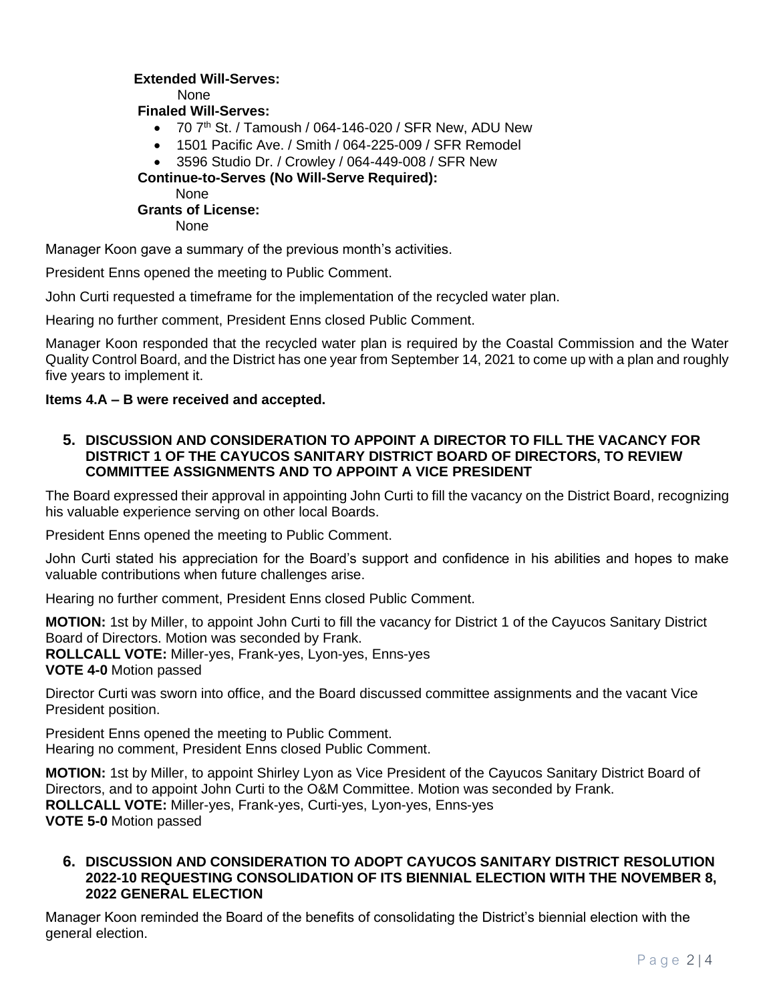### **Extended Will-Serves:**

None

 **Finaled Will-Serves:**

- $\bullet$  70  $7<sup>th</sup>$  St. / Tamoush / 064-146-020 / SFR New, ADU New
- 1501 Pacific Ave. / Smith / 064-225-009 / SFR Remodel
- 3596 Studio Dr. / Crowley / 064-449-008 / SFR New

 **Continue-to-Serves (No Will-Serve Required):**

None

## **Grants of License:**

None

Manager Koon gave a summary of the previous month's activities.

President Enns opened the meeting to Public Comment.

John Curti requested a timeframe for the implementation of the recycled water plan.

Hearing no further comment, President Enns closed Public Comment.

Manager Koon responded that the recycled water plan is required by the Coastal Commission and the Water Quality Control Board, and the District has one year from September 14, 2021 to come up with a plan and roughly five years to implement it.

#### **Items 4.A – B were received and accepted.**

### **5. DISCUSSION AND CONSIDERATION TO APPOINT A DIRECTOR TO FILL THE VACANCY FOR DISTRICT 1 OF THE CAYUCOS SANITARY DISTRICT BOARD OF DIRECTORS, TO REVIEW COMMITTEE ASSIGNMENTS AND TO APPOINT A VICE PRESIDENT**

The Board expressed their approval in appointing John Curti to fill the vacancy on the District Board, recognizing his valuable experience serving on other local Boards.

President Enns opened the meeting to Public Comment.

John Curti stated his appreciation for the Board's support and confidence in his abilities and hopes to make valuable contributions when future challenges arise.

Hearing no further comment, President Enns closed Public Comment.

**MOTION:** 1st by Miller, to appoint John Curti to fill the vacancy for District 1 of the Cayucos Sanitary District Board of Directors. Motion was seconded by Frank. **ROLLCALL VOTE:** Miller-yes, Frank-yes, Lyon-yes, Enns-yes **VOTE 4-0** Motion passed

Director Curti was sworn into office, and the Board discussed committee assignments and the vacant Vice President position.

President Enns opened the meeting to Public Comment. Hearing no comment, President Enns closed Public Comment.

**MOTION:** 1st by Miller, to appoint Shirley Lyon as Vice President of the Cayucos Sanitary District Board of Directors, and to appoint John Curti to the O&M Committee. Motion was seconded by Frank. **ROLLCALL VOTE:** Miller-yes, Frank-yes, Curti-yes, Lyon-yes, Enns-yes **VOTE 5-0** Motion passed

#### **6. DISCUSSION AND CONSIDERATION TO ADOPT CAYUCOS SANITARY DISTRICT RESOLUTION 2022-10 REQUESTING CONSOLIDATION OF ITS BIENNIAL ELECTION WITH THE NOVEMBER 8, 2022 GENERAL ELECTION**

Manager Koon reminded the Board of the benefits of consolidating the District's biennial election with the general election.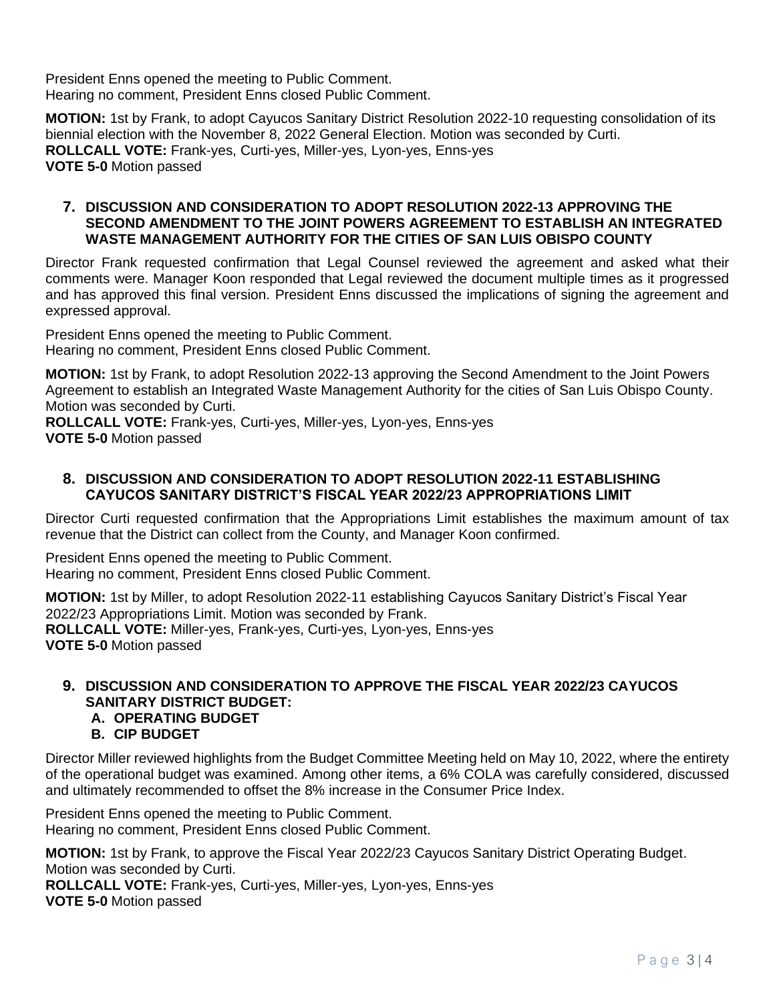President Enns opened the meeting to Public Comment. Hearing no comment, President Enns closed Public Comment.

**MOTION:** 1st by Frank, to adopt Cayucos Sanitary District Resolution 2022-10 requesting consolidation of its biennial election with the November 8, 2022 General Election. Motion was seconded by Curti. **ROLLCALL VOTE:** Frank-yes, Curti-yes, Miller-yes, Lyon-yes, Enns-yes **VOTE 5-0** Motion passed

#### **7. DISCUSSION AND CONSIDERATION TO ADOPT RESOLUTION 2022-13 APPROVING THE SECOND AMENDMENT TO THE JOINT POWERS AGREEMENT TO ESTABLISH AN INTEGRATED WASTE MANAGEMENT AUTHORITY FOR THE CITIES OF SAN LUIS OBISPO COUNTY**

Director Frank requested confirmation that Legal Counsel reviewed the agreement and asked what their comments were. Manager Koon responded that Legal reviewed the document multiple times as it progressed and has approved this final version. President Enns discussed the implications of signing the agreement and expressed approval.

President Enns opened the meeting to Public Comment. Hearing no comment, President Enns closed Public Comment.

**MOTION:** 1st by Frank, to adopt Resolution 2022-13 approving the Second Amendment to the Joint Powers Agreement to establish an Integrated Waste Management Authority for the cities of San Luis Obispo County. Motion was seconded by Curti.

**ROLLCALL VOTE:** Frank-yes, Curti-yes, Miller-yes, Lyon-yes, Enns-yes **VOTE 5-0** Motion passed

### **8. DISCUSSION AND CONSIDERATION TO ADOPT RESOLUTION 2022-11 ESTABLISHING CAYUCOS SANITARY DISTRICT'S FISCAL YEAR 2022/23 APPROPRIATIONS LIMIT**

Director Curti requested confirmation that the Appropriations Limit establishes the maximum amount of tax revenue that the District can collect from the County, and Manager Koon confirmed.

President Enns opened the meeting to Public Comment. Hearing no comment, President Enns closed Public Comment.

**MOTION:** 1st by Miller, to adopt Resolution 2022-11 establishing Cayucos Sanitary District's Fiscal Year 2022/23 Appropriations Limit. Motion was seconded by Frank. **ROLLCALL VOTE:** Miller-yes, Frank-yes, Curti-yes, Lyon-yes, Enns-yes **VOTE 5-0** Motion passed

# **9. DISCUSSION AND CONSIDERATION TO APPROVE THE FISCAL YEAR 2022/23 CAYUCOS SANITARY DISTRICT BUDGET:**

# **A. OPERATING BUDGET**

**B. CIP BUDGET** 

Director Miller reviewed highlights from the Budget Committee Meeting held on May 10, 2022, where the entirety of the operational budget was examined. Among other items, a 6% COLA was carefully considered, discussed and ultimately recommended to offset the 8% increase in the Consumer Price Index.

President Enns opened the meeting to Public Comment. Hearing no comment, President Enns closed Public Comment.

**MOTION:** 1st by Frank, to approve the Fiscal Year 2022/23 Cayucos Sanitary District Operating Budget. Motion was seconded by Curti.

**ROLLCALL VOTE:** Frank-yes, Curti-yes, Miller-yes, Lyon-yes, Enns-yes **VOTE 5-0** Motion passed